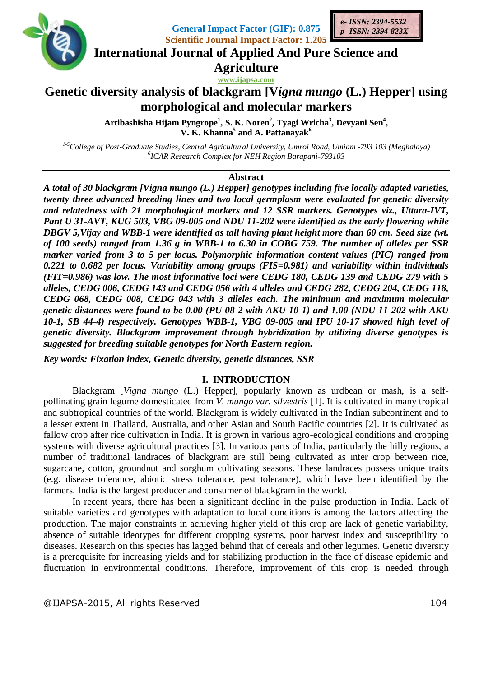

**General Impact Factor (GIF): 0.875 Scientific Journal Impact Factor: 1.205**



**International Journal of Applied And Pure Science and**

**Agriculture**

# **www.ijapsa.com Genetic diversity analysis of blackgram [V***igna mungo* **(L.) Hepper] using morphological and molecular markers**

Artibashisha Hijam Pyngrope<sup>1</sup>, S. K. Noren<sup>2</sup>, Tyagi Wricha<sup>3</sup>, Devyani Sen<sup>4</sup>, **V. K. Khanna<sup>5</sup> and A. Pattanayak<sup>6</sup>**

*1-5College of Post-Graduate Studies, Central Agricultural University, Umroi Road, Umiam -793 103 (Meghalaya) 6 ICAR Research Complex for NEH Region Barapani-793103*

# **Abstract**

*A total of 30 blackgram [Vigna mungo (L.) Hepper] genotypes including five locally adapted varieties, twenty three advanced breeding lines and two local germplasm were evaluated for genetic diversity and relatedness with 21 morphological markers and 12 SSR markers. Genotypes viz., Uttara-IVT, Pant U 31-AVT, KUG 503, VBG 09-005 and NDU 11-202 were identified as the early flowering while DBGV 5,Vijay and WBB-1 were identified as tall having plant height more than 60 cm. Seed size (wt. of 100 seeds) ranged from 1.36 g in WBB-1 to 6.30 in COBG 759. The number of alleles per SSR marker varied from 3 to 5 per locus. Polymorphic information content values (PIC) ranged from 0.221 to 0.682 per locus. Variability among groups (FIS=0.981) and variability within individuals (FIT=0.986) was low. The most informative loci were CEDG 180, CEDG 139 and CEDG 279 with 5 alleles, CEDG 006, CEDG 143 and CEDG 056 with 4 alleles and CEDG 282, CEDG 204, CEDG 118, CEDG 068, CEDG 008, CEDG 043 with 3 alleles each. The minimum and maximum molecular genetic distances were found to be 0.00 (PU 08-2 with AKU 10-1) and 1.00 (NDU 11-202 with AKU 10-1, SB 44-4) respectively. Genotypes WBB-1, VBG 09-005 and IPU 10-17 showed high level of genetic diversity. Blackgram improvement through hybridization by utilizing diverse genotypes is suggested for breeding suitable genotypes for North Eastern region.*

*Key words: Fixation index, Genetic diversity, genetic distances, SSR*

# **I. INTRODUCTION**

Blackgram [*Vigna mungo* (L.) Hepper], popularly known as urdbean or mash, is a selfpollinating grain legume domesticated from *V. mungo var. silvestris* [1]. It is cultivated in many tropical and subtropical countries of the world. Blackgram is widely cultivated in the Indian subcontinent and to a lesser extent in Thailand, Australia, and other Asian and South Pacific countries [2]. It is cultivated as fallow crop after rice cultivation in India. It is grown in various agro-ecological conditions and cropping systems with diverse agricultural practices [3]. In various parts of India, particularly the hilly regions, a number of traditional landraces of blackgram are still being cultivated as inter crop between rice, sugarcane, cotton, groundnut and sorghum cultivating seasons. These landraces possess unique traits (e.g. disease tolerance, abiotic stress tolerance, pest tolerance), which have been identified by the farmers. India is the largest producer and consumer of blackgram in the world.

In recent years, there has been a significant decline in the pulse production in India. Lack of suitable varieties and genotypes with adaptation to local conditions is among the factors affecting the production. The major constraints in achieving higher yield of this crop are lack of genetic variability, absence of suitable ideotypes for different cropping systems, poor harvest index and susceptibility to diseases. Research on this species has lagged behind that of cereals and other legumes. Genetic diversity is a prerequisite for increasing yields and for stabilizing production in the face of disease epidemic and fluctuation in environmental conditions. Therefore, improvement of this crop is needed through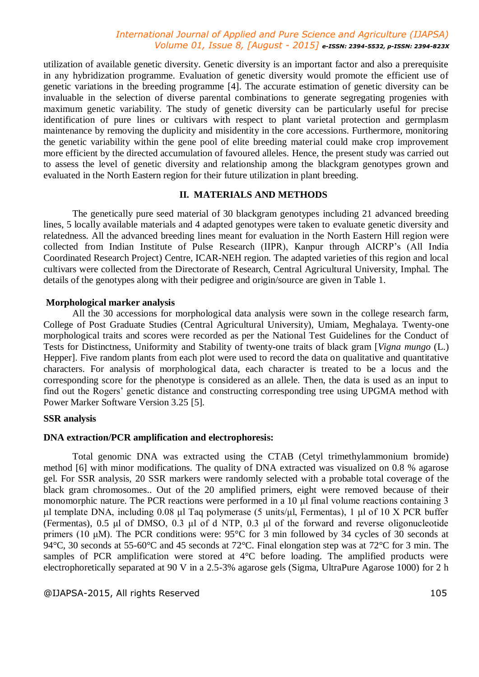utilization of available genetic diversity. Genetic diversity is an important factor and also a prerequisite in any hybridization programme. Evaluation of genetic diversity would promote the efficient use of genetic variations in the breeding programme [4]. The accurate estimation of genetic diversity can be invaluable in the selection of diverse parental combinations to generate segregating progenies with maximum genetic variability. The study of genetic diversity can be particularly useful for precise identification of pure lines or cultivars with respect to plant varietal protection and germplasm maintenance by removing the duplicity and misidentity in the core accessions. Furthermore, monitoring the genetic variability within the gene pool of elite breeding material could make crop improvement more efficient by the directed accumulation of favoured alleles. Hence, the present study was carried out to assess the level of genetic diversity and relationship among the blackgram genotypes grown and evaluated in the North Eastern region for their future utilization in plant breeding.

### **II. MATERIALS AND METHODS**

The genetically pure seed material of 30 blackgram genotypes including 21 advanced breeding lines, 5 locally available materials and 4 adapted genotypes were taken to evaluate genetic diversity and relatedness. All the advanced breeding lines meant for evaluation in the North Eastern Hill region were collected from Indian Institute of Pulse Research (IIPR), Kanpur through AICRP's (All India Coordinated Research Project) Centre, ICAR-NEH region. The adapted varieties of this region and local cultivars were collected from the Directorate of Research, Central Agricultural University, Imphal. The details of the genotypes along with their pedigree and origin/source are given in Table 1.

### **Morphological marker analysis**

All the 30 accessions for morphological data analysis were sown in the college research farm, College of Post Graduate Studies (Central Agricultural University), Umiam, Meghalaya. Twenty-one morphological traits and scores were recorded as per the National Test Guidelines for the Conduct of Tests for Distinctness, Uniformity and Stability of twenty-one traits of black gram [*Vigna mungo* (L.) Hepper]. Five random plants from each plot were used to record the data on qualitative and quantitative characters. For analysis of morphological data, each character is treated to be a locus and the corresponding score for the phenotype is considered as an allele. Then, the data is used as an input to find out the Rogers' genetic distance and constructing corresponding tree using UPGMA method with Power Marker Software Version 3.25 [5].

# **SSR analysis**

#### **DNA extraction/PCR amplification and electrophoresis:**

Total genomic DNA was extracted using the CTAB (Cetyl trimethylammonium bromide) method [6] with minor modifications. The quality of DNA extracted was visualized on 0.8 % agarose gel. For SSR analysis, 20 SSR markers were randomly selected with a probable total coverage of the black gram chromosomes.. Out of the 20 amplified primers, eight were removed because of their monomorphic nature. The PCR reactions were performed in a 10 μl final volume reactions containing 3 μl template DNA, including 0.08 μl Taq polymerase (5 units/μl, Fermentas), 1 μl of 10 X PCR buffer (Fermentas), 0.5 μl of DMSO, 0.3 μl of d NTP, 0.3 μl of the forward and reverse oligonucleotide primers (10 μM). The PCR conditions were: 95°C for 3 min followed by 34 cycles of 30 seconds at 94°C, 30 seconds at 55-60°C and 45 seconds at 72°C. Final elongation step was at 72°C for 3 min. The samples of PCR amplification were stored at 4°C before loading. The amplified products were electrophoretically separated at 90 V in a 2.5-3% agarose gels (Sigma, UltraPure Agarose 1000) for 2 h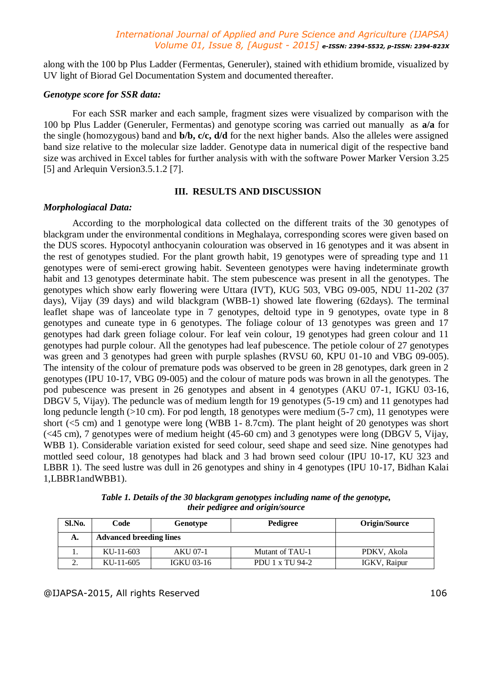along with the 100 bp Plus Ladder (Fermentas, Generuler), stained with ethidium bromide, visualized by UV light of Biorad Gel Documentation System and documented thereafter.

#### *Genotype score for SSR data:*

For each SSR marker and each sample, fragment sizes were visualized by comparison with the 100 bp Plus Ladder (Generuler, Fermentas) and genotype scoring was carried out manually as **a/a** for the single (homozygous) band and **b/b, c/c, d/d** for the next higher bands. Also the alleles were assigned band size relative to the molecular size ladder. Genotype data in numerical digit of the respective band size was archived in Excel tables for further analysis with with the software Power Marker Version 3.25 [5] and Arlequin Version 3.5.1.2 [7].

# **III. RESULTS AND DISCUSSION**

#### *Morphologiacal Data:*

According to the morphological data collected on the different traits of the 30 genotypes of blackgram under the environmental conditions in Meghalaya, corresponding scores were given based on the DUS scores. Hypocotyl anthocyanin colouration was observed in 16 genotypes and it was absent in the rest of genotypes studied. For the plant growth habit, 19 genotypes were of spreading type and 11 genotypes were of semi-erect growing habit. Seventeen genotypes were having indeterminate growth habit and 13 genotypes determinate habit. The stem pubescence was present in all the genotypes. The genotypes which show early flowering were Uttara (IVT), KUG 503, VBG 09-005, NDU 11-202 (37 days), Vijay (39 days) and wild blackgram (WBB-1) showed late flowering (62days). The terminal leaflet shape was of lanceolate type in 7 genotypes, deltoid type in 9 genotypes, ovate type in 8 genotypes and cuneate type in 6 genotypes. The foliage colour of 13 genotypes was green and 17 genotypes had dark green foliage colour. For leaf vein colour, 19 genotypes had green colour and 11 genotypes had purple colour. All the genotypes had leaf pubescence. The petiole colour of 27 genotypes was green and 3 genotypes had green with purple splashes (RVSU 60, KPU 01-10 and VBG 09-005). The intensity of the colour of premature pods was observed to be green in 28 genotypes, dark green in 2 genotypes (IPU 10-17, VBG 09-005) and the colour of mature pods was brown in all the genotypes. The pod pubescence was present in 26 genotypes and absent in 4 genotypes (AKU 07-1, IGKU 03-16, DBGV 5, Vijay). The peduncle was of medium length for 19 genotypes (5-19 cm) and 11 genotypes had long peduncle length (>10 cm). For pod length, 18 genotypes were medium (5-7 cm), 11 genotypes were short (<5 cm) and 1 genotype were long (WBB 1- 8.7cm). The plant height of 20 genotypes was short (<45 cm), 7 genotypes were of medium height (45-60 cm) and 3 genotypes were long (DBGV 5, Vijay, WBB 1). Considerable variation existed for seed colour, seed shape and seed size. Nine genotypes had mottled seed colour, 18 genotypes had black and 3 had brown seed colour (IPU 10-17, KU 323 and LBBR 1). The seed lustre was dull in 26 genotypes and shiny in 4 genotypes (IPU 10-17, Bidhan Kalai 1,LBBR1andWBB1).

| Sl.No.   | Code                           | Genotype          | Pedigree        | Origin/Source |
|----------|--------------------------------|-------------------|-----------------|---------------|
| А.       | <b>Advanced breeding lines</b> |                   |                 |               |
|          | KU-11-603                      | AKU 07-1          | Mutant of TAU-1 | PDKV, Akola   |
| <u>.</u> | KU-11-605                      | <b>IGKU 03-16</b> | PDU 1 x TU 94-2 | IGKV, Raipur  |

*Table 1. Details of the 30 blackgram genotypes including name of the genotype, their pedigree and origin/source*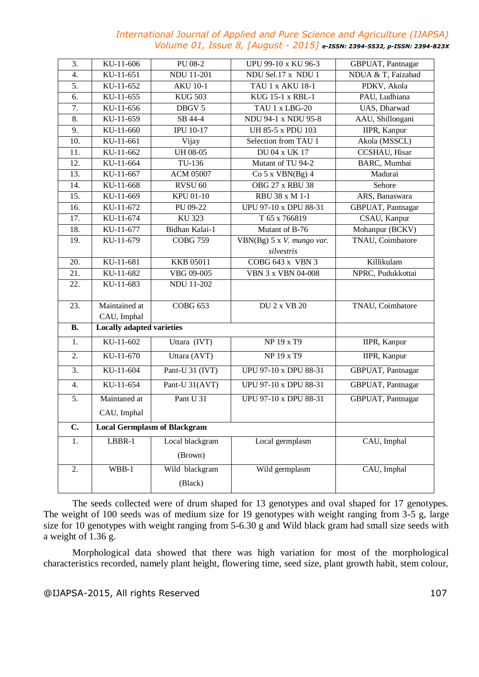| 3.               | KU-11-606                    | PU 08-2                             | UPU 99-10 x KU 96-3                     | GBPUAT, Pantnagar   |  |  |  |
|------------------|------------------------------|-------------------------------------|-----------------------------------------|---------------------|--|--|--|
| 4.               | KU-11-651                    | <b>NDU 11-201</b>                   | NDU Sel.17 x NDU 1                      | NDUA & T, Faizabad  |  |  |  |
| 5.               | KU-11-652                    | <b>AKU 10-1</b>                     | TAU 1 x AKU 18-1                        | PDKV, Akola         |  |  |  |
| 6.               | KU-11-655                    | <b>KUG 503</b>                      | KUG 15-1 x RBL-1                        | PAU, Ludhiana       |  |  |  |
| 7.               | KU-11-656                    | DBGV 5                              | TAU 1 x LBG-20                          | UAS, Dharwad        |  |  |  |
| 8.               | KU-11-659                    | SB 44-4                             | NDU 94-1 x NDU 95-8                     | AAU, Shillongani    |  |  |  |
| 9.               | KU-11-660                    | <b>IPU 10-17</b>                    | UH 85-5 x PDU 103                       | IIPR, Kanpur        |  |  |  |
| 10.              | KU-11-661                    | Vijay                               | Selection from TAU 1                    | Akola (MSSCL)       |  |  |  |
| 11.              | KU-11-662                    | <b>UH 08-05</b>                     | <b>DU 04 x UK 17</b>                    | CCSHAU, Hisar       |  |  |  |
| 12.              | KU-11-664                    | TU-136                              | Mutant of TU 94-2                       | BARC, Mumbai        |  |  |  |
| 13.              | KU-11-667                    | <b>ACM 05007</b>                    | Co 5 x VBN(Bg) 4                        | Madurai             |  |  |  |
| 14.              | KU-11-668                    | RVSU <sub>60</sub>                  | OBG 27 x RBU 38                         | Sehore              |  |  |  |
| 15.              | KU-11-669                    | <b>KPU 01-10</b>                    | RBU 38 x M 1-1                          | ARS, Banaswara      |  |  |  |
| 16.              | KU-11-672                    | PU 09-22                            | UPU 97-10 x DPU 88-31                   | GBPUAT, Pantnagar   |  |  |  |
| 17.              | KU-11-674                    | <b>KU 323</b>                       | T 65 x 766819                           | CSAU, Kanpur        |  |  |  |
| 18.              | KU-11-677                    | Bidhan Kalai-1                      | Mutant of B-76                          | Mohanpur (BCKV)     |  |  |  |
| 19.              | KU-11-679                    | <b>COBG 759</b>                     | VBN(Bg) 5 x V. mungo var.<br>silvestris | TNAU, Coimbatore    |  |  |  |
| 20.              | KU-11-681                    | <b>KKB 05011</b>                    | <b>COBG 643 x VBN 3</b>                 | Killikulam          |  |  |  |
| 21.              | KU-11-682                    | VBG 09-005                          | VBN 3 x VBN 04-008                      | NPRC, Pudukkottai   |  |  |  |
| 22.              | KU-11-683                    | <b>NDU 11-202</b>                   |                                         |                     |  |  |  |
| 23.              | Maintained at<br>CAU, Imphal | <b>COBG 653</b>                     | <b>DU 2 x VB 20</b>                     | TNAU, Coimbatore    |  |  |  |
| <b>B.</b>        |                              | <b>Locally adapted varieties</b>    |                                         |                     |  |  |  |
| 1.               | KU-11-602                    | Uttara (IVT)                        | NP 19 x T9                              | IIPR, Kanpur        |  |  |  |
| 2.               | KU-11-670                    | Uttara (AVT)                        | <b>NP 19 x T9</b>                       | <b>IIPR, Kanpur</b> |  |  |  |
| $\overline{3}$ . | KU-11-604                    | Pant-U 31 (IVT)                     | <b>UPU 97-10 x DPU 88-31</b>            | GBPUAT, Pantnagar   |  |  |  |
| 4.               | KU-11-654                    | Pant-U 31(AVT)                      | UPU 97-10 x DPU 88-31                   | GBPUAT, Pantnagar   |  |  |  |
| 5.               | Maintaned at                 | Pant U <sub>31</sub>                | <b>UPU 97-10 x DPU 88-31</b>            | GBPUAT, Pantnagar   |  |  |  |
|                  | CAU, Imphal                  |                                     |                                         |                     |  |  |  |
| $\overline{C}$ . |                              | <b>Local Germplasm of Blackgram</b> |                                         |                     |  |  |  |
| 1.               | LBBR-1                       | Local blackgram                     | Local germplasm                         | CAU, Imphal         |  |  |  |
|                  |                              | (Brown)                             |                                         |                     |  |  |  |
| 2.               | $WBB-1$                      | Wild blackgram                      | Wild germplasm                          | CAU, Imphal         |  |  |  |
|                  |                              | (Black)                             |                                         |                     |  |  |  |

The seeds collected were of drum shaped for 13 genotypes and oval shaped for 17 genotypes. The weight of 100 seeds was of medium size for 19 genotypes with weight ranging from 3-5 g, large size for 10 genotypes with weight ranging from 5-6.30 g and Wild black gram had small size seeds with a weight of 1.36 g.

Morphological data showed that there was high variation for most of the morphological characteristics recorded, namely plant height, flowering time, seed size, plant growth habit, stem colour,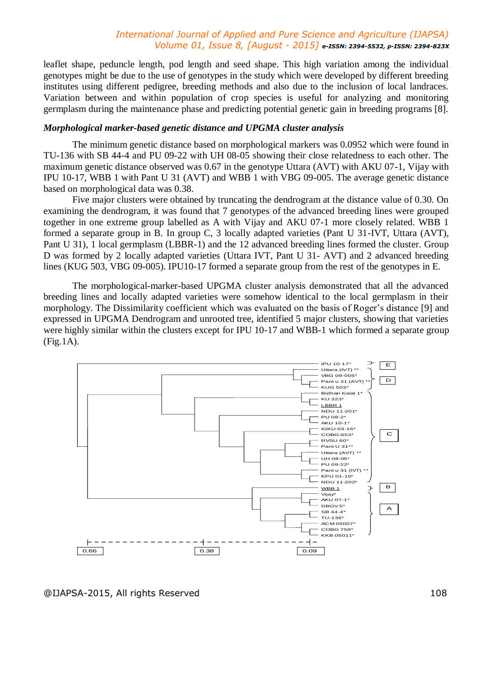leaflet shape, peduncle length, pod length and seed shape. This high variation among the individual genotypes might be due to the use of genotypes in the study which were developed by different breeding institutes using different pedigree, breeding methods and also due to the inclusion of local landraces. Variation between and within population of crop species is useful for analyzing and monitoring germplasm during the maintenance phase and predicting potential genetic gain in breeding programs [8].

## *Morphological marker-based genetic distance and UPGMA cluster analysis*

The minimum genetic distance based on morphological markers was 0.0952 which were found in TU-136 with SB 44-4 and PU 09-22 with UH 08-05 showing their close relatedness to each other. The maximum genetic distance observed was 0.67 in the genotype Uttara (AVT) with AKU 07-1, Vijay with IPU 10-17, WBB 1 with Pant U 31 (AVT) and WBB 1 with VBG 09-005. The average genetic distance based on morphological data was 0.38.

Five major clusters were obtained by truncating the dendrogram at the distance value of 0.30. On examining the dendrogram, it was found that 7 genotypes of the advanced breeding lines were grouped together in one extreme group labelled as A with Vijay and AKU 07-1 more closely related. WBB 1 formed a separate group in B. In group C, 3 locally adapted varieties (Pant U 31-IVT, Uttara (AVT), Pant U 31), 1 local germplasm (LBBR-1) and the 12 advanced breeding lines formed the cluster. Group D was formed by 2 locally adapted varieties (Uttara IVT, Pant U 31- AVT) and 2 advanced breeding lines (KUG 503, VBG 09-005). IPU10-17 formed a separate group from the rest of the genotypes in E.

The morphological-marker-based UPGMA cluster analysis demonstrated that all the advanced breeding lines and locally adapted varieties were somehow identical to the local germplasm in their morphology. The Dissimilarity coefficient which was evaluated on the basis of Roger's distance [9] and expressed in UPGMA Dendrogram and unrooted tree, identified 5 major clusters, showing that varieties were highly similar within the clusters except for IPU 10-17 and WBB-1 which formed a separate group (Fig.1A).



@IJAPSA-2015, All rights Reserved 108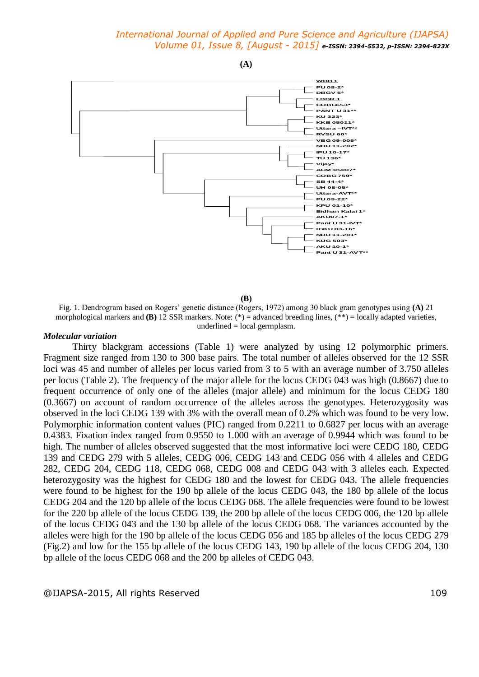

**(B)**

Fig. 1. Dendrogram based on Rogers' genetic distance (Rogers, 1972) among 30 black gram genotypes using **(A)** 21 morphological markers and **(B)** 12 SSR markers. Note:  $(*)$  = advanced breeding lines,  $(**)$  = locally adapted varieties, underlined = local germplasm.

#### *Molecular variation*

Thirty blackgram accessions (Table 1) were analyzed by using 12 polymorphic primers. Fragment size ranged from 130 to 300 base pairs. The total number of alleles observed for the 12 SSR loci was 45 and number of alleles per locus varied from 3 to 5 with an average number of 3.750 alleles per locus (Table 2). The frequency of the major allele for the locus CEDG 043 was high (0.8667) due to frequent occurrence of only one of the alleles (major allele) and minimum for the locus CEDG 180 (0.3667) on account of random occurrence of the alleles across the genotypes. Heterozygosity was observed in the loci CEDG 139 with 3% with the overall mean of 0.2% which was found to be very low. Polymorphic information content values (PIC) ranged from 0.2211 to 0.6827 per locus with an average 0.4383. Fixation index ranged from 0.9550 to 1.000 with an average of 0.9944 which was found to be high. The number of alleles observed suggested that the most informative loci were CEDG 180, CEDG 139 and CEDG 279 with 5 alleles, CEDG 006, CEDG 143 and CEDG 056 with 4 alleles and CEDG 282, CEDG 204, CEDG 118, CEDG 068, CEDG 008 and CEDG 043 with 3 alleles each. Expected heterozygosity was the highest for CEDG 180 and the lowest for CEDG 043. The allele frequencies were found to be highest for the 190 bp allele of the locus CEDG 043, the 180 bp allele of the locus CEDG 204 and the 120 bp allele of the locus CEDG 068. The allele frequencies were found to be lowest for the 220 bp allele of the locus CEDG 139, the 200 bp allele of the locus CEDG 006, the 120 bp allele of the locus CEDG 043 and the 130 bp allele of the locus CEDG 068. The variances accounted by the alleles were high for the 190 bp allele of the locus CEDG 056 and 185 bp alleles of the locus CEDG 279 (Fig.2) and low for the 155 bp allele of the locus CEDG 143, 190 bp allele of the locus CEDG 204, 130 bp allele of the locus CEDG 068 and the 200 bp alleles of CEDG 043.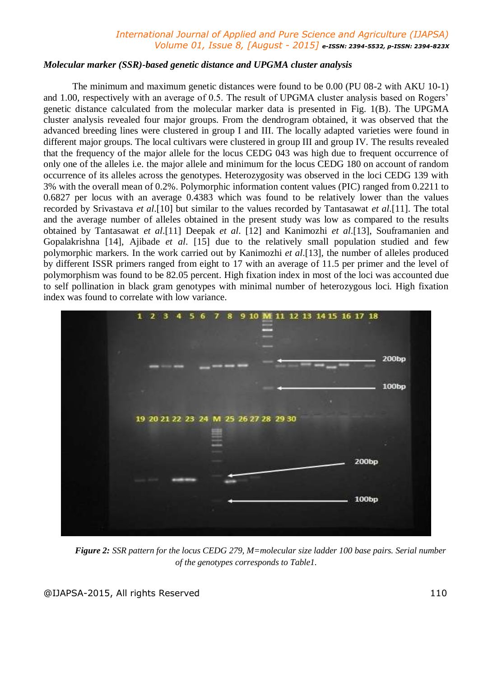#### *Molecular marker (SSR)-based genetic distance and UPGMA cluster analysis*

The minimum and maximum genetic distances were found to be 0.00 (PU 08-2 with AKU 10-1) and 1.00, respectively with an average of 0.5. The result of UPGMA cluster analysis based on Rogers' genetic distance calculated from the molecular marker data is presented in Fig. 1(B). The UPGMA cluster analysis revealed four major groups. From the dendrogram obtained, it was observed that the advanced breeding lines were clustered in group I and III. The locally adapted varieties were found in different major groups. The local cultivars were clustered in group III and group IV. The results revealed that the frequency of the major allele for the locus CEDG 043 was high due to frequent occurrence of only one of the alleles i.e. the major allele and minimum for the locus CEDG 180 on account of random occurrence of its alleles across the genotypes. Heterozygosity was observed in the loci CEDG 139 with 3% with the overall mean of 0.2%. Polymorphic information content values (PIC) ranged from 0.2211 to 0.6827 per locus with an average 0.4383 which was found to be relatively lower than the values recorded by Srivastava *et al*.[10] but similar to the values recorded by Tantasawat *et al*.[11]. The total and the average number of alleles obtained in the present study was low as compared to the results obtained by Tantasawat *et al*.[11] Deepak *et al*. [12] and Kanimozhi *et al*.[13], Souframanien and Gopalakrishna [14], Ajibade *et al*. [15] due to the relatively small population studied and few polymorphic markers. In the work carried out by Kanimozhi *et al*.[13], the number of alleles produced by different ISSR primers ranged from eight to 17 with an average of 11.5 per primer and the level of polymorphism was found to be 82.05 percent. High fixation index in most of the loci was accounted due to self pollination in black gram genotypes with minimal number of heterozygous loci. High fixation index was found to correlate with low variance.



*Figure 2: SSR pattern for the locus CEDG 279, M=molecular size ladder 100 base pairs. Serial number of the genotypes corresponds to Table1.*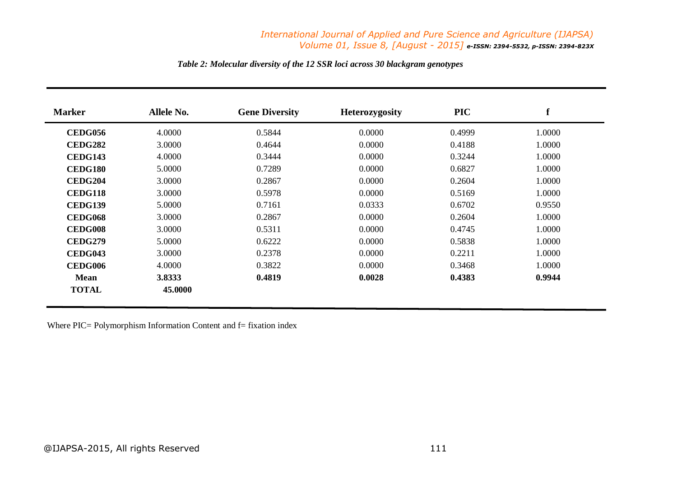| <b>Marker</b>  | <b>Allele No.</b> | <b>Gene Diversity</b> | <b>Heterozygosity</b> | <b>PIC</b> | f      |
|----------------|-------------------|-----------------------|-----------------------|------------|--------|
| <b>CEDG056</b> | 4.0000            | 0.5844                | 0.0000                | 0.4999     | 1.0000 |
| <b>CEDG282</b> | 3.0000            | 0.4644                | 0.0000                | 0.4188     | 1.0000 |
| CEDG143        | 4.0000            | 0.3444                | 0.0000                | 0.3244     | 1.0000 |
| <b>CEDG180</b> | 5.0000            | 0.7289                | 0.0000                | 0.6827     | 1.0000 |
| <b>CEDG204</b> | 3.0000            | 0.2867                | 0.0000                | 0.2604     | 1.0000 |
| CEDG118        | 3.0000            | 0.5978                | 0.0000                | 0.5169     | 1.0000 |
| <b>CEDG139</b> | 5.0000            | 0.7161                | 0.0333                | 0.6702     | 0.9550 |
| CEDG068        | 3.0000            | 0.2867                | 0.0000                | 0.2604     | 1.0000 |
| <b>CEDG008</b> | 3.0000            | 0.5311                | 0.0000                | 0.4745     | 1.0000 |
| <b>CEDG279</b> | 5.0000            | 0.6222                | 0.0000                | 0.5838     | 1.0000 |
| <b>CEDG043</b> | 3.0000            | 0.2378                | 0.0000                | 0.2211     | 1.0000 |
| CEDG006        | 4.0000            | 0.3822                | 0.0000                | 0.3468     | 1.0000 |
| Mean           | 3.8333            | 0.4819                | 0.0028                | 0.4383     | 0.9944 |
| <b>TOTAL</b>   | 45.0000           |                       |                       |            |        |

# *Table 2: Molecular diversity of the 12 SSR loci across 30 blackgram genotypes*

Where  $\text{PIC}$  = Polymorphism Information Content and  $f$  = fixation index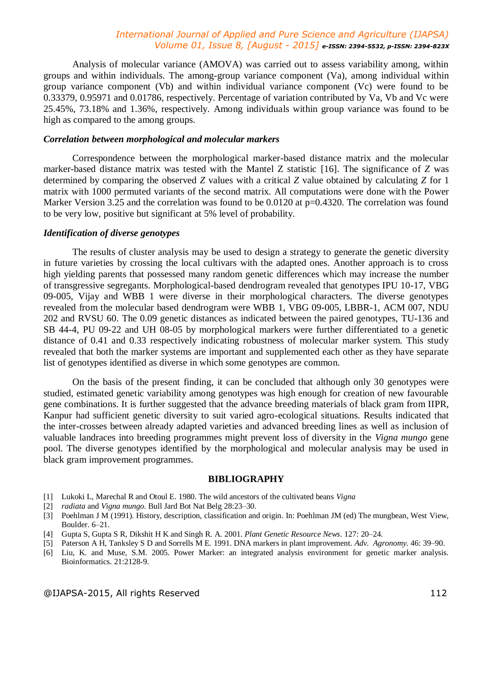Analysis of molecular variance (AMOVA) was carried out to assess variability among, within groups and within individuals. The among-group variance component (Va), among individual within group variance component (Vb) and within individual variance component (Vc) were found to be 0.33379, 0.95971 and 0.01786, respectively. Percentage of variation contributed by Va, Vb and Vc were 25.45%, 73.18% and 1.36%, respectively. Among individuals within group variance was found to be high as compared to the among groups.

#### *Correlation between morphological and molecular markers*

Correspondence between the morphological marker-based distance matrix and the molecular marker-based distance matrix was tested with the Mantel Z statistic [16]. The significance of *Z* was determined by comparing the observed *Z* values with a critical *Z* value obtained by calculating *Z* for 1 matrix with 1000 permuted variants of the second matrix. All computations were done with the Power Marker Version 3.25 and the correlation was found to be 0.0120 at  $p=0.4320$ . The correlation was found to be very low, positive but significant at 5% level of probability.

# *Identification of diverse genotypes*

The results of cluster analysis may be used to design a strategy to generate the genetic diversity in future varieties by crossing the local cultivars with the adapted ones. Another approach is to cross high yielding parents that possessed many random genetic differences which may increase the number of transgressive segregants. Morphological-based dendrogram revealed that genotypes IPU 10-17, VBG 09-005, Vijay and WBB 1 were diverse in their morphological characters. The diverse genotypes revealed from the molecular based dendrogram were WBB 1, VBG 09-005, LBBR-1, ACM 007, NDU 202 and RVSU 60. The 0.09 genetic distances as indicated between the paired genotypes, TU-136 and SB 44-4, PU 09-22 and UH 08-05 by morphological markers were further differentiated to a genetic distance of 0.41 and 0.33 respectively indicating robustness of molecular marker system. This study revealed that both the marker systems are important and supplemented each other as they have separate list of genotypes identified as diverse in which some genotypes are common.

On the basis of the present finding, it can be concluded that although only 30 genotypes were studied, estimated genetic variability among genotypes was high enough for creation of new favourable gene combinations. It is further suggested that the advance breeding materials of black gram from IIPR, Kanpur had sufficient genetic diversity to suit varied agro-ecological situations. Results indicated that the inter-crosses between already adapted varieties and advanced breeding lines as well as inclusion of valuable landraces into breeding programmes might prevent loss of diversity in the *Vigna mungo* gene pool. The diverse genotypes identified by the morphological and molecular analysis may be used in black gram improvement programmes.

#### **BIBLIOGRAPHY**

- [1] Lukoki L, Marechal R and Otoul E. 1980. The wild ancestors of the cultivated beans *Vigna*
- [2] *radiata* and *Vigna mungo*. Bull Jard Bot Nat Belg 28:23–30.
- [3] Poehlman J M (1991). History, description, classification and origin. In: Poehlman JM (ed) The mungbean, West View, Boulder. 6–21.
- [4] Gupta S, Gupta S R, Dikshit H K and Singh R. A. 2001. *Plant Genetic Resource News*. 127: 20–24.
- [5] Paterson A H, Tanksley S D and Sorrells M E. 1991. DNA markers in plant improvement. *Adv. Agronomy.* 46: 39–90.
- [6] Liu, K. and Muse, S.M. 2005. Power Marker: an integrated analysis environment for genetic marker analysis. Bioinformatics. 21:2128-9.